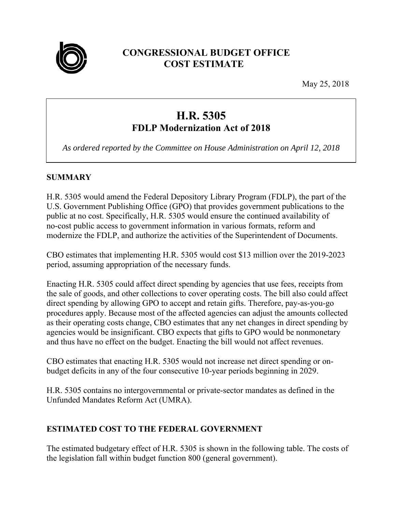

## **CONGRESSIONAL BUDGET OFFICE COST ESTIMATE**

May 25, 2018

# **H.R. 5305 FDLP Modernization Act of 2018**

*As ordered reported by the Committee on House Administration on April 12, 2018* 

## **SUMMARY**

H.R. 5305 would amend the Federal Depository Library Program (FDLP), the part of the U.S. Government Publishing Office (GPO) that provides government publications to the public at no cost. Specifically, H.R. 5305 would ensure the continued availability of no-cost public access to government information in various formats, reform and modernize the FDLP, and authorize the activities of the Superintendent of Documents.

CBO estimates that implementing H.R. 5305 would cost \$13 million over the 2019-2023 period, assuming appropriation of the necessary funds.

Enacting H.R. 5305 could affect direct spending by agencies that use fees, receipts from the sale of goods, and other collections to cover operating costs. The bill also could affect direct spending by allowing GPO to accept and retain gifts. Therefore, pay-as-you-go procedures apply. Because most of the affected agencies can adjust the amounts collected as their operating costs change, CBO estimates that any net changes in direct spending by agencies would be insignificant. CBO expects that gifts to GPO would be nonmonetary and thus have no effect on the budget. Enacting the bill would not affect revenues.

CBO estimates that enacting H.R. 5305 would not increase net direct spending or onbudget deficits in any of the four consecutive 10-year periods beginning in 2029.

H.R. 5305 contains no intergovernmental or private-sector mandates as defined in the Unfunded Mandates Reform Act (UMRA).

## **ESTIMATED COST TO THE FEDERAL GOVERNMENT**

The estimated budgetary effect of H.R. 5305 is shown in the following table. The costs of the legislation fall within budget function 800 (general government).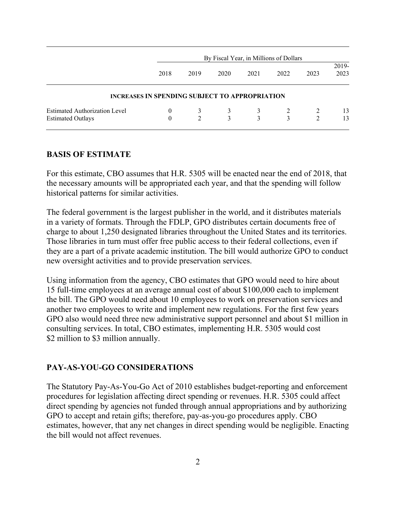|                                      | By Fiscal Year, in Millions of Dollars                |             |              |      |      |                |               |
|--------------------------------------|-------------------------------------------------------|-------------|--------------|------|------|----------------|---------------|
|                                      | 2018                                                  | 2019        | 2020         | 2021 | 2022 | 2023           | 2019-<br>2023 |
|                                      | <b>INCREASES IN SPENDING SUBJECT TO APPROPRIATION</b> |             |              |      |      |                |               |
| <b>Estimated Authorization Level</b> | $\theta$                                              | 3           | $\mathbf{3}$ | 3    | 2    |                | 13            |
| <b>Estimated Outlays</b>             | $\theta$                                              | $2^{\circ}$ | 3            | 3    | 3    | $\mathfrak{D}$ | 13            |

#### **BASIS OF ESTIMATE**

For this estimate, CBO assumes that H.R. 5305 will be enacted near the end of 2018, that the necessary amounts will be appropriated each year, and that the spending will follow historical patterns for similar activities.

The federal government is the largest publisher in the world, and it distributes materials in a variety of formats. Through the FDLP, GPO distributes certain documents free of charge to about 1,250 designated libraries throughout the United States and its territories. Those libraries in turn must offer free public access to their federal collections, even if they are a part of a private academic institution. The bill would authorize GPO to conduct new oversight activities and to provide preservation services.

Using information from the agency, CBO estimates that GPO would need to hire about 15 full-time employees at an average annual cost of about \$100,000 each to implement the bill. The GPO would need about 10 employees to work on preservation services and another two employees to write and implement new regulations. For the first few years GPO also would need three new administrative support personnel and about \$1 million in consulting services. In total, CBO estimates, implementing H.R. 5305 would cost \$2 million to \$3 million annually.

#### **PAY-AS-YOU-GO CONSIDERATIONS**

The Statutory Pay-As-You-Go Act of 2010 establishes budget-reporting and enforcement procedures for legislation affecting direct spending or revenues. H.R. 5305 could affect direct spending by agencies not funded through annual appropriations and by authorizing GPO to accept and retain gifts; therefore, pay-as-you-go procedures apply. CBO estimates, however, that any net changes in direct spending would be negligible. Enacting the bill would not affect revenues.